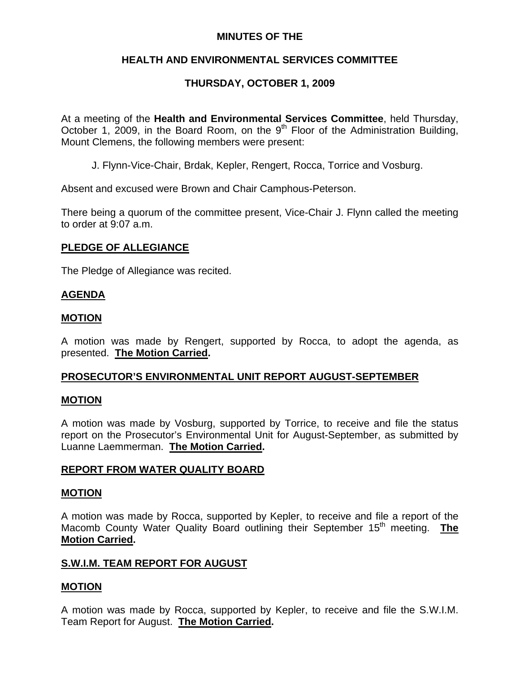## **MINUTES OF THE**

# **HEALTH AND ENVIRONMENTAL SERVICES COMMITTEE**

# **THURSDAY, OCTOBER 1, 2009**

At a meeting of the **Health and Environmental Services Committee**, held Thursday, October 1, 2009, in the Board Room, on the  $9<sup>th</sup>$  Floor of the Administration Building, Mount Clemens, the following members were present:

J. Flynn-Vice-Chair, Brdak, Kepler, Rengert, Rocca, Torrice and Vosburg.

Absent and excused were Brown and Chair Camphous-Peterson.

There being a quorum of the committee present, Vice-Chair J. Flynn called the meeting to order at 9:07 a.m.

## **PLEDGE OF ALLEGIANCE**

The Pledge of Allegiance was recited.

### **AGENDA**

### **MOTION**

A motion was made by Rengert, supported by Rocca, to adopt the agenda, as presented. **The Motion Carried.** 

## **PROSECUTOR'S ENVIRONMENTAL UNIT REPORT AUGUST-SEPTEMBER**

#### **MOTION**

A motion was made by Vosburg, supported by Torrice, to receive and file the status report on the Prosecutor's Environmental Unit for August-September, as submitted by Luanne Laemmerman. **The Motion Carried.** 

## **REPORT FROM WATER QUALITY BOARD**

#### **MOTION**

A motion was made by Rocca, supported by Kepler, to receive and file a report of the Macomb County Water Quality Board outlining their September 15<sup>th</sup> meeting. **The Motion Carried.** 

#### **S.W.I.M. TEAM REPORT FOR AUGUST**

## **MOTION**

A motion was made by Rocca, supported by Kepler, to receive and file the S.W.I.M. Team Report for August. **The Motion Carried.**